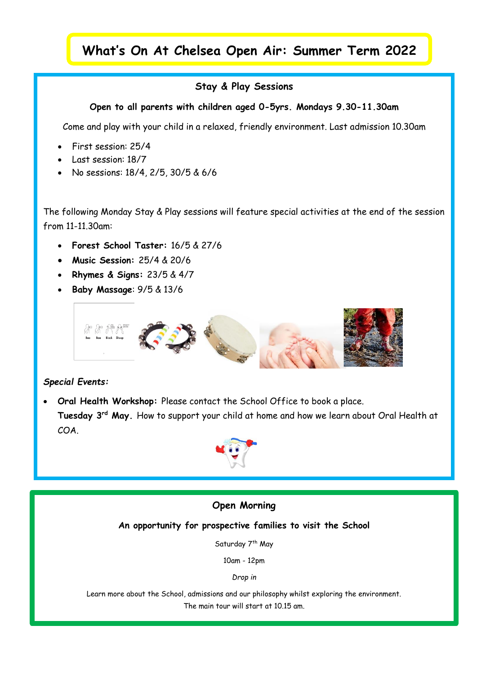# **What's On At Chelsea Open Air: Summer Term 2022**

# **Stay & Play Sessions**

**Open to all parents with children aged 0-5yrs. Mondays 9.30-11.30am**

Come and play with your child in a relaxed, friendly environment. Last admission 10.30am

- First session: 25/4
- Last session: 18/7
- No sessions: 18/4, 2/5, 30/5 & 6/6

The following Monday Stay & Play sessions will feature special activities at the end of the session from 11-11.30am:

- **Forest School Taster:** 16/5 & 27/6
- **Music Session:** 25/4 & 20/6
- **Rhymes & Signs:** 23/5 & 4/7
- **Baby Massage**: 9/5 & 13/6



#### *Special Events:*

• **Oral Health Workshop:** Please contact the School Office to book a place. **Tuesday 3rd May.** How to support your child at home and how we learn about Oral Health at COA.



# **Open Morning**

## **An opportunity for prospective families to visit the School**

Saturday 7<sup>th</sup> May

10am - 12pm

*Drop in* 

Learn more about the School, admissions and our philosophy whilst exploring the environment. The main tour will start at 10.15 am.